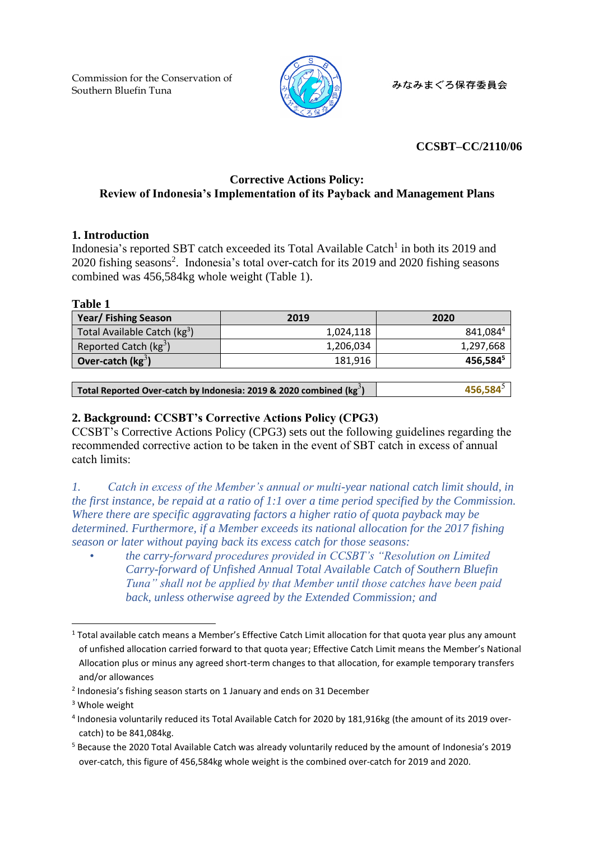Commission for the Conservation of Southern Bluefin Tuna



みなみまぐろ保存委員会

## <span id="page-0-1"></span>**CCSBT–CC/2110/06**

## **Corrective Actions Policy: Review of Indonesia's Implementation of its Payback and Management Plans**

### **1. Introduction**

Indonesia's reported SBT catch exceeded its Total Available Catch<sup>1</sup> in both its 2019 and 2020 fishing seasons<sup>2</sup>. Indonesia's total over-catch for its 2019 and 2020 fishing seasons combined was 456,584kg whole weight (Table 1).

#### **Table 1**

<span id="page-0-0"></span>

| <b>Year/Fishing Season</b>               | 2019      | 2020                 |
|------------------------------------------|-----------|----------------------|
| Total Available Catch (kg <sup>3</sup> ) | 1,024,118 | 841,0844             |
| Reported Catch ( $kg^3$ )                | 1,206,034 | 1,297,668            |
| Over-catch $(kg^3)$                      | 181.916   | 456,584 <sup>5</sup> |

| Total Reported Over-catch by Indonesia: 2019 & 2020 combined (kg <sup>3</sup> ) | $456,584^{\circ}$ |
|---------------------------------------------------------------------------------|-------------------|
|---------------------------------------------------------------------------------|-------------------|

## **2. Background: CCSBT's Corrective Actions Policy (CPG3)**

CCSBT's Corrective Actions Policy (CPG3) sets out the following guidelines regarding the recommended corrective action to be taken in the event of SBT catch in excess of annual catch limits:

*1. Catch in excess of the Member's annual or multi-year national catch limit should, in the first instance, be repaid at a ratio of 1:1 over a time period specified by the Commission. Where there are specific aggravating factors a higher ratio of quota payback may be determined. Furthermore, if a Member exceeds its national allocation for the 2017 fishing season or later without paying back its excess catch for those seasons:*

• *the carry-forward procedures provided in CCSBT's "Resolution on Limited Carry-forward of Unfished Annual Total Available Catch of Southern Bluefin Tuna" shall not be applied by that Member until those catches have been paid back, unless otherwise agreed by the Extended Commission; and*

<sup>1</sup> Total available catch means a Member's Effective Catch Limit allocation for that quota year plus any amount of unfished allocation carried forward to that quota year; Effective Catch Limit means the Member's National Allocation plus or minus any agreed short-term changes to that allocation, for example temporary transfers and/or allowances

<sup>&</sup>lt;sup>2</sup> Indonesia's fishing season starts on 1 January and ends on 31 December

<sup>&</sup>lt;sup>3</sup> Whole weight

<sup>4</sup> Indonesia voluntarily reduced its Total Available Catch for 2020 by 181,916kg (the amount of its 2019 overcatch) to be 841,084kg.

<sup>5</sup> Because the 2020 Total Available Catch was already voluntarily reduced by the amount of Indonesia's 2019 over-catch, this figure of 456,584kg whole weight is the combined over-catch for 2019 and 2020.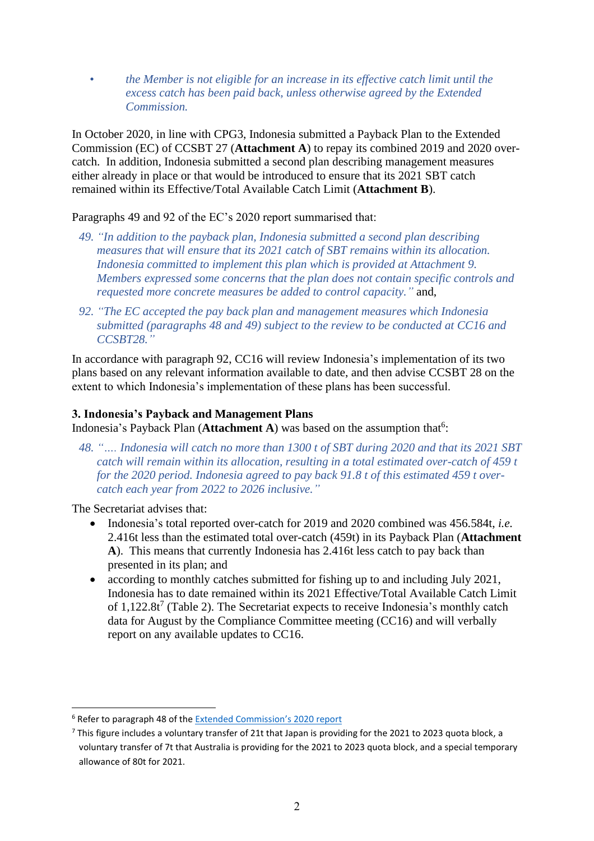• *the Member is not eligible for an increase in its effective catch limit until the excess catch has been paid back, unless otherwise agreed by the Extended Commission.*

In October 2020, in line with CPG3, Indonesia submitted a Payback Plan to the Extended Commission (EC) of CCSBT 27 (**Attachment A**) to repay its combined 2019 and 2020 overcatch. In addition, Indonesia submitted a second plan describing management measures either already in place or that would be introduced to ensure that its 2021 SBT catch remained within its Effective/Total Available Catch Limit (**Attachment B**).

Paragraphs 49 and 92 of the EC's 2020 report summarised that:

- *49. "In addition to the payback plan, Indonesia submitted a second plan describing measures that will ensure that its 2021 catch of SBT remains within its allocation. Indonesia committed to implement this plan which is provided at Attachment 9. Members expressed some concerns that the plan does not contain specific controls and requested more concrete measures be added to control capacity."* and,
- *92. "The EC accepted the pay back plan and management measures which Indonesia submitted (paragraphs 48 and 49) subject to the review to be conducted at CC16 and CCSBT28."*

In accordance with paragraph 92, CC16 will review Indonesia's implementation of its two plans based on any relevant information available to date, and then advise CCSBT 28 on the extent to which Indonesia's implementation of these plans has been successful.

## **3. Indonesia's Payback and Management Plans**

Indonesia's Payback Plan (**Attachment A**) was based on the assumption that 6 :

*48. "…. Indonesia will catch no more than 1300 t of SBT during 2020 and that its 2021 SBT catch will remain within its allocation, resulting in a total estimated over-catch of 459 t for the 2020 period. Indonesia agreed to pay back 91.8 t of this estimated 459 t overcatch each year from 2022 to 2026 inclusive."*

The Secretariat advises that:

- Indonesia's total reported over-catch for 2019 and 2020 combined was 456.584t, *i.e.* 2.416t less than the estimated total over-catch (459t) in its Payback Plan (**Attachment A**). This means that currently Indonesia has 2.416t less catch to pay back than presented in its plan; and
- according to monthly catches submitted for fishing up to and including July 2021, Indonesia has to date remained within its 2021 Effective/Total Available Catch Limit of  $1,122.8$ t<sup>7</sup> (Table 2). The Secretariat expects to receive Indonesia's monthly catch data for August by the Compliance Committee meeting (CC16) and will verbally report on any available updates to CC16.

<sup>6</sup> Refer to paragraph 48 of th[e Extended Commission](https://www.ccsbt.org/sites/default/files/userfiles/file/docs_english/meetings/meeting_reports/ccsbt_27/report_of_CCSBT27.pdf)'s 2020 report

<sup>&</sup>lt;sup>7</sup> This figure includes a voluntary transfer of 21t that Japan is providing for the 2021 to 2023 quota block, a voluntary transfer of 7t that Australia is providing for the 2021 to 2023 quota block, and a special temporary allowance of 80t for 2021.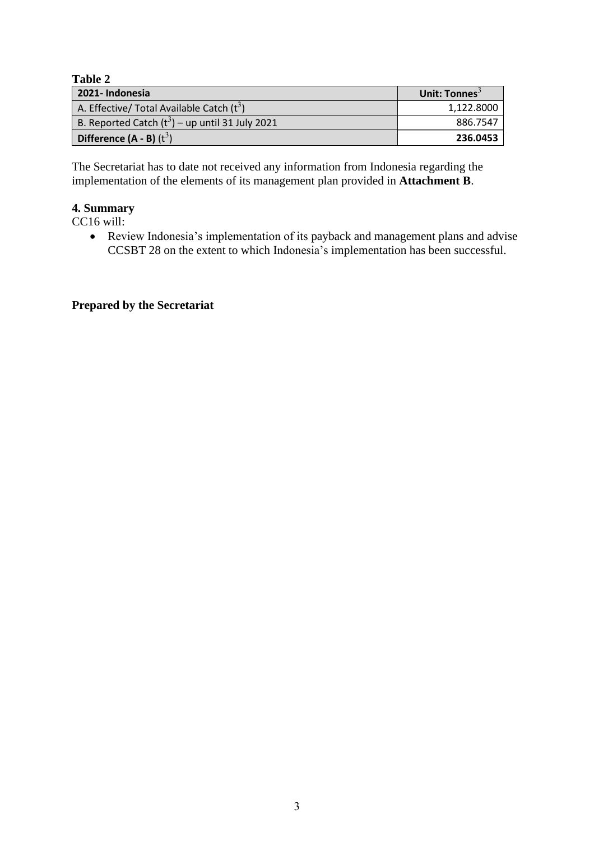**Table 2** 

| 2021- Indonesia                                   | Unit: Tonnes <sup>3</sup> |
|---------------------------------------------------|---------------------------|
| A. Effective/ Total Available Catch $(t^3)$       | 1.122.8000                |
| B. Reported Catch $(t^3)$ – up until 31 July 2021 | 886.7547                  |
| Difference $(A - B)$ $(t^3)$                      | 236.0453                  |

The Secretariat has to date not received any information from Indonesia regarding the implementation of the elements of its management plan provided in **Attachment B**.

# **4. Summary**

CC16 will:

• Review Indonesia's implementation of its payback and management plans and advise CCSBT 28 on the extent to which Indonesia's implementation has been successful.

## **Prepared by the Secretariat**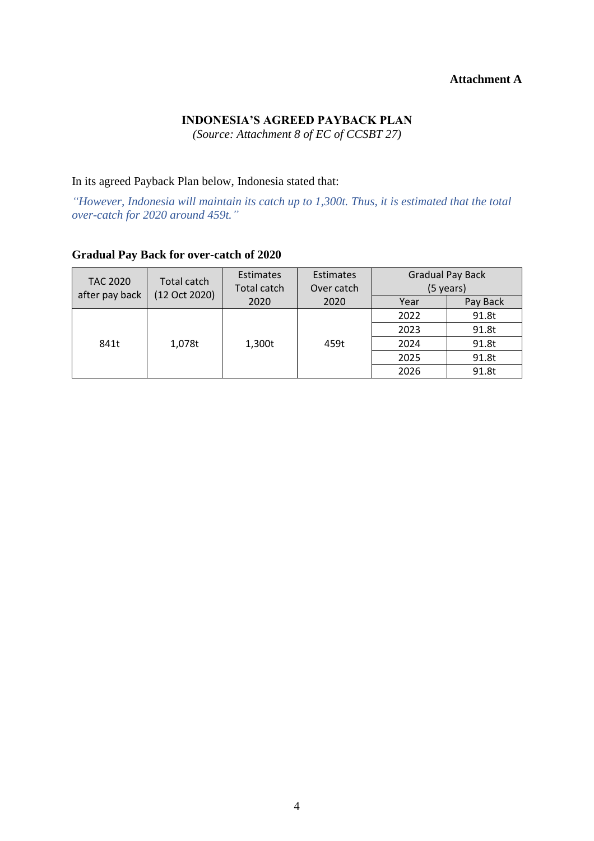#### **Attachment A**

## **INDONESIA'S AGREED PAYBACK PLAN**

*(Source: Attachment 8 of EC of CCSBT 27)*

In its agreed Payback Plan below, Indonesia stated that:

*"However, Indonesia will maintain its catch up to 1,300t. Thus, it is estimated that the total over-catch for 2020 around 459t."*

| <b>TAC 2020</b><br>after pay back | Total catch<br>(12 Oct 2020) | <b>Estimates</b><br>Total catch | Estimates<br>Over catch | <b>Gradual Pay Back</b><br>(5 years) |          |
|-----------------------------------|------------------------------|---------------------------------|-------------------------|--------------------------------------|----------|
|                                   |                              | 2020                            | 2020                    | Year                                 | Pay Back |
|                                   | 1,078t                       | 1,300t                          | 459t                    | 2022                                 | 91.8t    |
|                                   |                              |                                 |                         | 2023                                 | 91.8t    |
| 841t                              |                              |                                 |                         | 2024                                 | 91.8t    |
|                                   |                              |                                 |                         | 2025                                 | 91.8t    |
|                                   |                              |                                 |                         | 2026                                 | 91.8t    |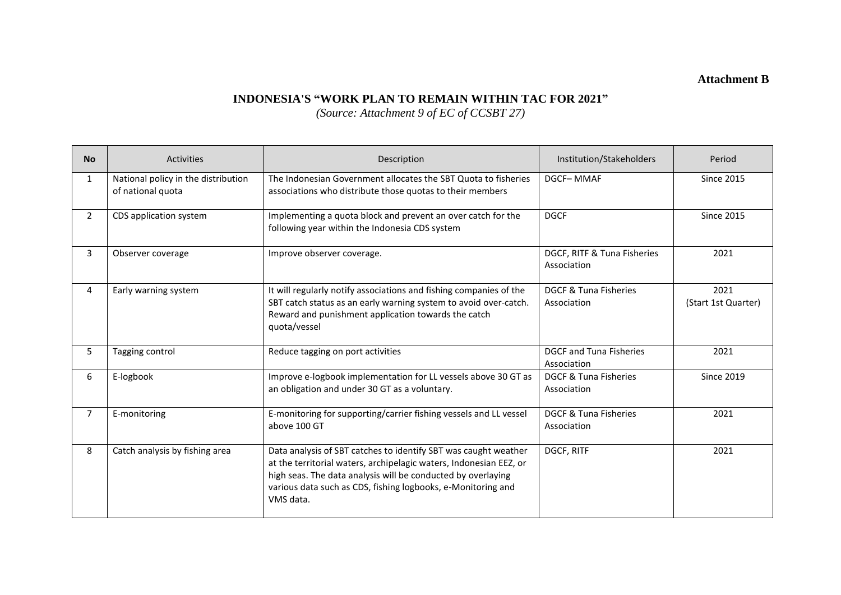**Attachment B**

## **INDONESIA'S "WORK PLAN TO REMAIN WITHIN TAC FOR 2021"**

*(Source: Attachment 9 of EC of CCSBT 27)*

| <b>No</b>      | <b>Activities</b>                                        | Description                                                                                                                                                                                                                                                                        | Institution/Stakeholders                        | Period                      |
|----------------|----------------------------------------------------------|------------------------------------------------------------------------------------------------------------------------------------------------------------------------------------------------------------------------------------------------------------------------------------|-------------------------------------------------|-----------------------------|
| $\mathbf{1}$   | National policy in the distribution<br>of national quota | The Indonesian Government allocates the SBT Quota to fisheries<br>associations who distribute those quotas to their members                                                                                                                                                        | DGCF-MMAF                                       | <b>Since 2015</b>           |
| $\overline{2}$ | CDS application system                                   | Implementing a quota block and prevent an over catch for the<br>following year within the Indonesia CDS system                                                                                                                                                                     | <b>DGCF</b>                                     | <b>Since 2015</b>           |
| 3              | Observer coverage                                        | Improve observer coverage.                                                                                                                                                                                                                                                         | DGCF, RITF & Tuna Fisheries<br>Association      | 2021                        |
| 4              | Early warning system                                     | It will regularly notify associations and fishing companies of the<br>SBT catch status as an early warning system to avoid over-catch.<br>Reward and punishment application towards the catch<br>quota/vessel                                                                      | DGCF & Tuna Fisheries<br>Association            | 2021<br>(Start 1st Quarter) |
| 5              | Tagging control                                          | Reduce tagging on port activities                                                                                                                                                                                                                                                  | DGCF and Tuna Fisheries<br>Association          | 2021                        |
| 6              | E-logbook                                                | Improve e-logbook implementation for LL vessels above 30 GT as<br>an obligation and under 30 GT as a voluntary.                                                                                                                                                                    | <b>DGCF &amp; Tuna Fisheries</b><br>Association | <b>Since 2019</b>           |
| $\overline{7}$ | E-monitoring                                             | E-monitoring for supporting/carrier fishing vessels and LL vessel<br>above 100 GT                                                                                                                                                                                                  | DGCF & Tuna Fisheries<br>Association            | 2021                        |
| 8              | Catch analysis by fishing area                           | Data analysis of SBT catches to identify SBT was caught weather<br>at the territorial waters, archipelagic waters, Indonesian EEZ, or<br>high seas. The data analysis will be conducted by overlaying<br>various data such as CDS, fishing logbooks, e-Monitoring and<br>VMS data. | DGCF, RITF                                      | 2021                        |